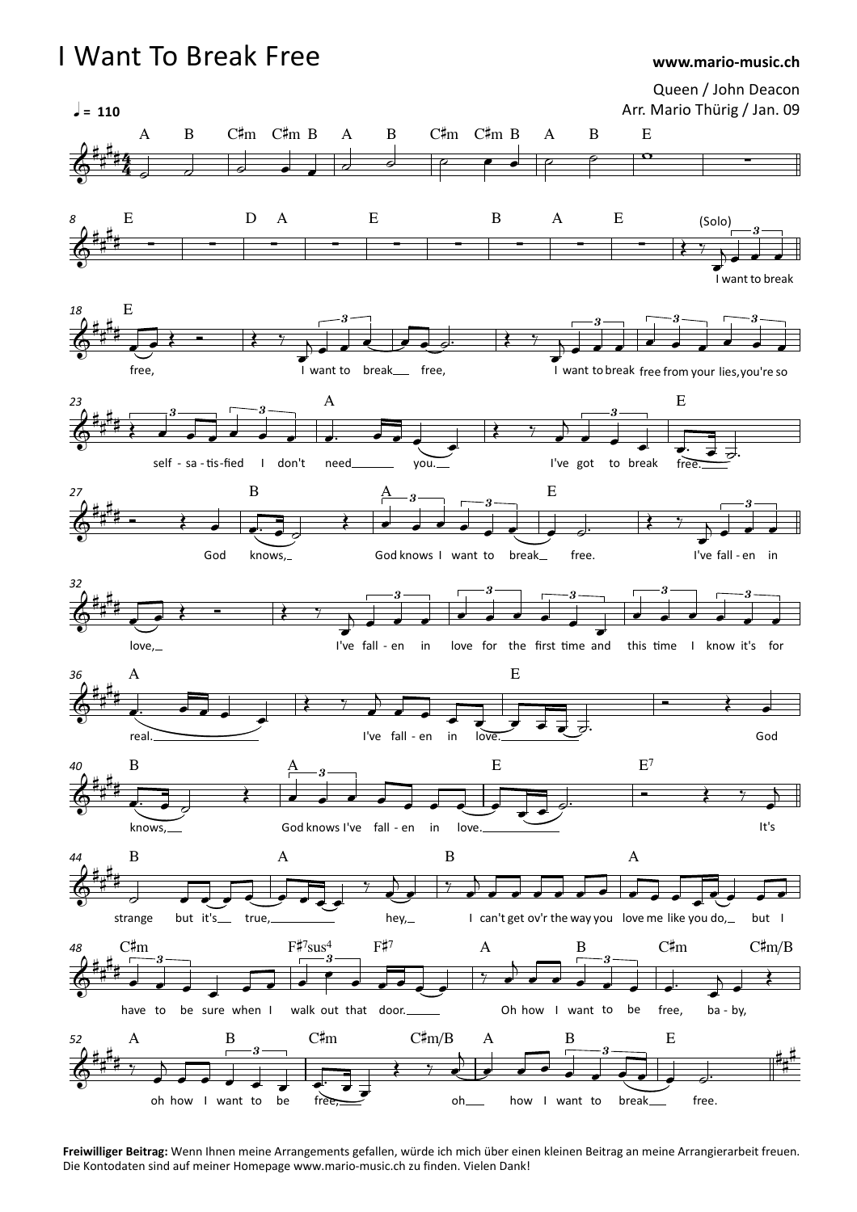## I Want To Break Free

## www.mario-music.ch



Freiwilliger Beitrag: Wenn Ihnen meine Arrangements gefallen, würde ich mich über einen kleinen Beitrag an meine Arrangierarbeit freuen. Die Kontodaten sind auf meiner Homepage www.mario-music.ch zu finden. Vielen Dank!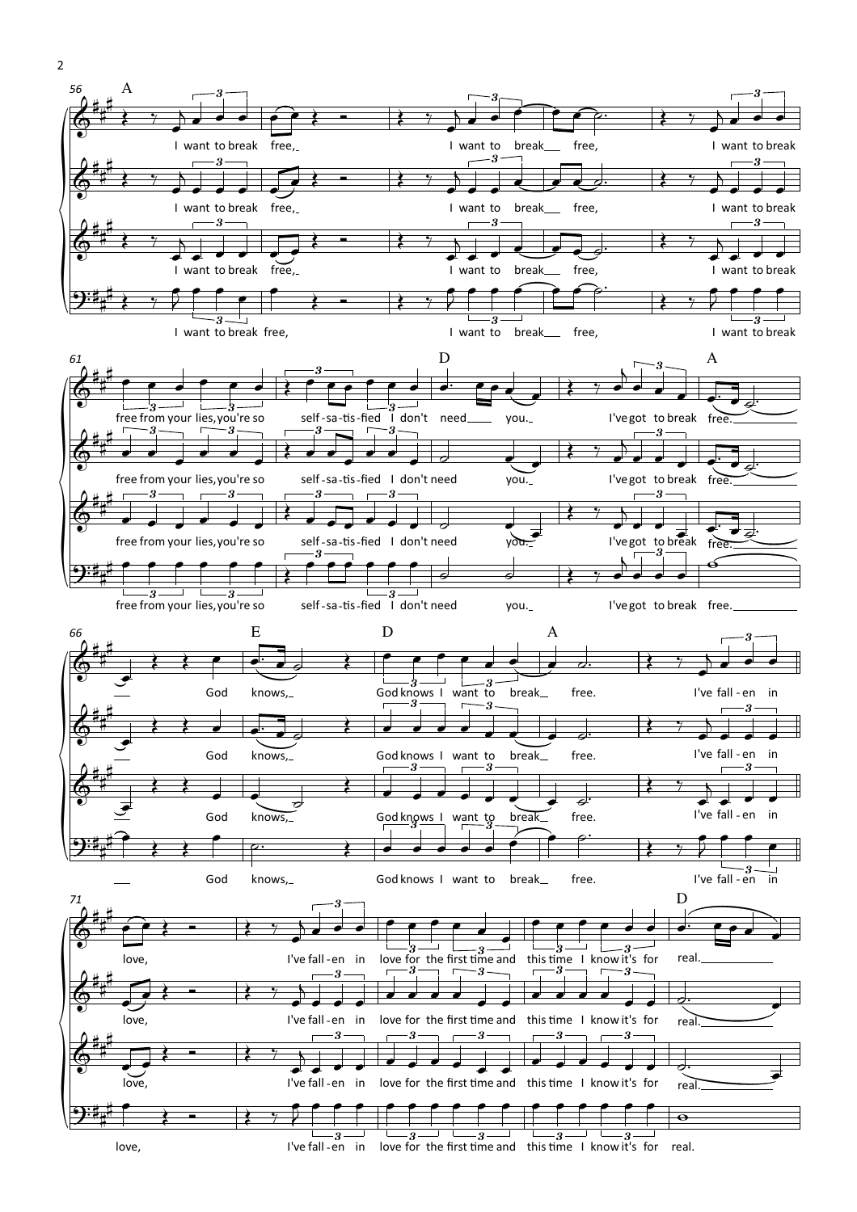

2